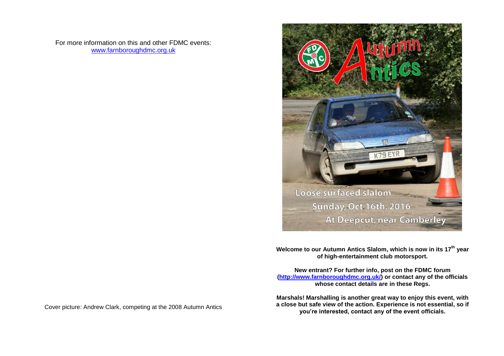For more information on this and other FDMC events: [www.farnboroughdmc.org.uk](http://www.farnboroughdmc.org.uk/reports)



**Welcome to our Autumn Antics Slalom, which is now in its 17 th year of high-entertainment club motorsport.**

**New entrant? For further info, post on the FDMC forum [\(http://www.farnboroughdmc.org.uk/\)](http://www.farnboroughdmc.org.uk/) or contact any of the officials whose contact details are in these Regs.**

**Marshals! Marshalling is another great way to enjoy this event, with a close but safe view of the action. Experience is not essential, so if you're interested, contact any of the event officials.**

Cover picture: Andrew Clark, competing at the 2008 Autumn Antics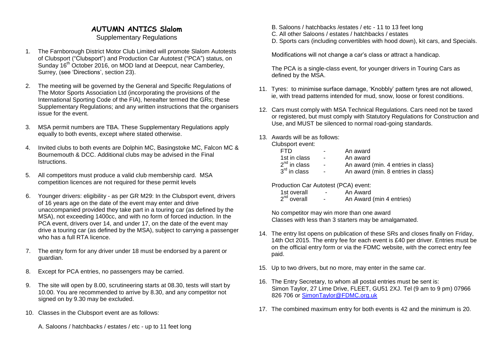# **AUTUMN ANTICS Slalom**

### Supplementary Regulations

- 1. The Farnborough District Motor Club Limited will promote Slalom Autotests of Clubsport ("Clubsport") and Production Car Autotest ("PCA") status, on Sunday 16<sup>th</sup> October 2016, on MOD land at Deepcut, near Camberley, Surrey, (see 'Directions', section 23).
- 2. The meeting will be governed by the General and Specific Regulations of The Motor Sports Association Ltd (incorporating the provisions of the International Sporting Code of the FIA), hereafter termed the GRs; these Supplementary Regulations; and any written instructions that the organisers issue for the event.
- 3. MSA permit numbers are TBA. These Supplementary Regulations apply equally to both events, except where stated otherwise.
- 4. Invited clubs to both events are Dolphin MC, Basingstoke MC, Falcon MC & Bournemouth & DCC. Additional clubs may be advised in the Final Istructions.
- 5. All competitors must produce a valid club membership card. MSA competition licences are not required for these permit levels
- 6. Younger drivers: eligibility as per GR M29: In the Clubsport event, drivers of 16 years age on the date of the event may enter and drive unaccompanied provided they take part in a touring car (as defined by the MSA), not exceeding 1400cc, and with no form of forced induction. In the PCA event, drivers over 14, and under 17, on the date of the event may drive a touring car (as defined by the MSA), subject to carrying a passenger who has a full RTA licence.
- 7. The entry form for any driver under 18 must be endorsed by a parent or guardian.
- 8. Except for PCA entries, no passengers may be carried.
- 9. The site will open by 8.00, scrutineering starts at 08.30, tests will start by 10.00. You are recommended to arrive by 8.30, and any competitor not signed on by 9.30 may be excluded.
- 10. Classes in the Clubsport event are as follows:
	- A. Saloons / hatchbacks / estates / etc up to 11 feet long
- B. Saloons / hatchbacks /estates / etc 11 to 13 feet long
- C. All other Saloons / estates / hatchbacks / estates
- D. Sports cars (including convertibles with hood down), kit cars, and Specials.

Modifications will not change a car's class or attract a handicap.

The PCA is a single-class event, for younger drivers in Touring Cars as defined by the MSA.

- 11. Tyres: to minimise surface damage, 'Knobbly' pattern tyres are not allowed, ie, with tread patterns intended for mud, snow, loose or forest conditions.
- 12. Cars must comply with MSA Technical Regulations. Cars need not be taxed or registered, but must comply with Statutory Regulations for Construction and Use, and MUST be silenced to normal road-going standards.
- 13. Awards will be as follows:

Clubsport event:

| FTD.                     | $\overline{\phantom{a}}$ | An award                           |
|--------------------------|--------------------------|------------------------------------|
| 1st in class             | $\blacksquare$           | An award                           |
| $2nd$ in class           | $\blacksquare$           | An award (min. 4 entries in class) |
| $3^{\text{rd}}$ in class |                          | An award (min. 8 entries in class) |

Production Car Autotest (PCA) event:

| 1st overall             | An Award                 |
|-------------------------|--------------------------|
| 2 <sup>nd</sup> overall | An Award (min 4 entries) |

No competitor may win more than one award Classes with less than 3 starters may be amalgamated.

- 14. The entry list opens on publication of these SRs and closes finally on Friday, 14th Oct 2015. The entry fee for each event is £40 per driver. Entries must be on the official entry form or via the FDMC website, with the correct entry fee paid.
- 15. Up to two drivers, but no more, may enter in the same car.
- 16. The Entry Secretary, to whom all postal entries must be sent is: Simon Taylor, 27 Lime Drive, FLEET, GU51 2XJ. Tel (9 am to 9 pm) 07966 826 706 or [SimonTaylor@FDMC.org.uk](mailto:SimonTaylor@FDMC.org.uk)
- 17. The combined maximum entry for both events is 42 and the minimum is 20.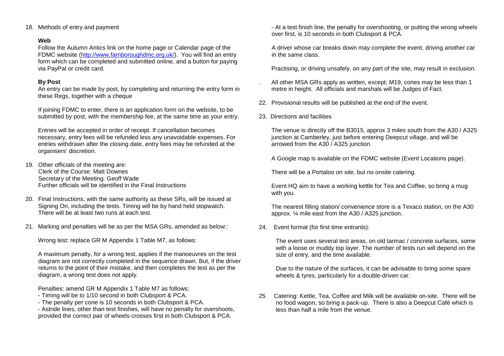18. Methods of entry and payment

#### **Web**

Follow the Autumn Antics link on the home page or Calendar page of the FDMC website [\(http://www.farnboroughdmc.org.uk/\)](http://www.farnboroughdmc.org.uk/). You will find an entry form which can be completed and submitted online, and a button for paying via PayPal or credit card.

#### **By Post**

An entry can be made by post, by completing and returning the entry form in these Regs, together with a cheque

If joining FDMC to enter, there is an application form on the website, to be submitted by post, with the membership fee, at the same time as your entry.

Entries will be accepted in order of receipt. If cancellation becomes necessary, entry fees will be refunded less any unavoidable expenses. For entries withdrawn after the closing date, entry fees may be refunded at the organisers' discretion.

- 19. Other officials of the meeting are: Clerk of the Course: Matt Downes Secretary of the Meeting: Geoff Wade Further officials will be identified in the Final Instructions
- 20. Final Instructions, with the same authority as these SRs, will be issued at Signing On, including the tests. Timing will be by hand held stopwatch. There will be at least two runs at each test.
- 21. Marking and penalties will be as per the MSA GRs, amended as below::

Wrong test: replace GR M Appendix 1 Table M7, as follows:

A maximum penalty, for a wrong test, applies if the manoeuvres on the test diagram are not correctly completed in the sequence drawn. But, if the driver returns to the point of their mistake, and then completes the test as per the diagram, a wrong test does not apply.

Penalties: amend GR M Appendix 1 Table M7 as follows:

- Timing will be to 1/10 second in both Clubsport & PCA.
- The penalty per cone is 10 seconds in both Clubsport & PCA.

- Astride lines, other than test finishes, will have no penalty for overshoots, provided the correct pair of wheels crosses first in both Clubsport & PCA.

- At a test finish line, the penalty for overshooting, or putting the wrong wheels over first, is 10 seconds in both Clubsport & PCA.

A driver whose car breaks down may complete the event, driving another car in the same class.

Practising, or driving unsafely, on any part of the site, may result in exclusion.

- . All other MSA GRs apply as written, except; M19, cones may be less than 1 metre in height. All officials and marshals will be Judges of Fact.
- 22. Provisional results will be published at the end of the event.
- 23. Directions and facilities

The venue is directly off the B3015, approx 3 miles south from the A30 / A325 junction at Camberley, just before entering Deepcut village, and will be arrowed from the A30 / A325 junction.

A Google map is available on the FDMC website (Event Locations page).

There will be a Portaloo on site, but no onsite catering.

Event HQ aim to have a working kettle for Tea and Coffee, so bring a mug with you.

The nearest filling station/ convenience store is a Texaco station, on the A30 approx. ¼ mile east from the A30 / A325 junction.

24. Event format (for first time entrants):

The event uses several test areas, on old tarmac / concrete surfaces, some with a loose or muddy top layer. The number of tests run will depend on the size of entry, and the time available.

Due to the nature of the surfaces, it can be advisable to bring some spare wheels & tyres, particularly for a double-driven car.

25 Catering: Kettle, Tea, Coffee and Milk will be available on-site. There will be no food wagon, so bring a pack-up. There is also a Deepcut Café which is less than half a mile from the venue.